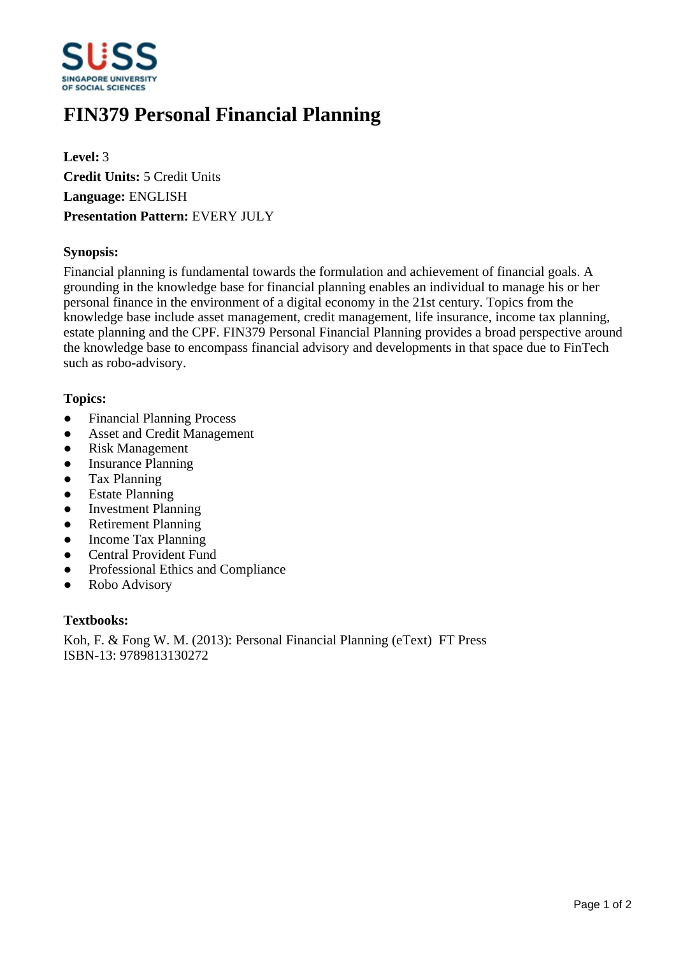

# **FIN379 Personal Financial Planning**

**Level:** 3 **Credit Units:** 5 Credit Units **Language:** ENGLISH **Presentation Pattern:** EVERY JULY

### **Synopsis:**

Financial planning is fundamental towards the formulation and achievement of financial goals. A grounding in the knowledge base for financial planning enables an individual to manage his or her personal finance in the environment of a digital economy in the 21st century. Topics from the knowledge base include asset management, credit management, life insurance, income tax planning, estate planning and the CPF. FIN379 Personal Financial Planning provides a broad perspective around the knowledge base to encompass financial advisory and developments in that space due to FinTech such as robo-advisory.

#### **Topics:**

- Financial Planning Process
- Asset and Credit Management
- Risk Management
- Insurance Planning
- Tax Planning
- Estate Planning
- Investment Planning
- Retirement Planning
- Income Tax Planning
- Central Provident Fund
- Professional Ethics and Compliance
- Robo Advisory

#### **Textbooks:**

Koh, F. & Fong W. M. (2013): Personal Financial Planning (eText) FT Press ISBN-13: 9789813130272